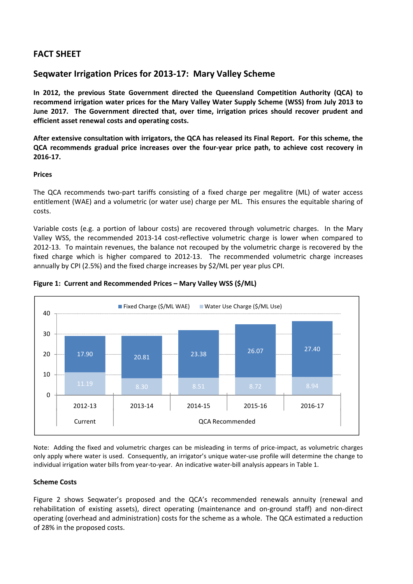# **FACT SHEET**

# **Seqwater Irrigation Prices for 2013‐17: Mary Valley Scheme**

**In 2012, the previous State Government directed the Queensland Competition Authority (QCA) to recommend irrigation water prices for the Mary Valley Water Supply Scheme (WSS) from July 2013 to June 2017. The Government directed that, over time, irrigation prices should recover prudent and efficient asset renewal costs and operating costs.** 

After extensive consultation with irrigators, the QCA has released its Final Report. For this scheme, the **QCA recommends gradual price increases over the four‐year price path, to achieve cost recovery in 2016‐17.**

## **Prices**

The QCA recommends two-part tariffs consisting of a fixed charge per megalitre (ML) of water access entitlement (WAE) and a volumetric (or water use) charge per ML. This ensures the equitable sharing of costs.

Variable costs (e.g. a portion of labour costs) are recovered through volumetric charges. In the Mary Valley WSS, the recommended 2013‐14 cost‐reflective volumetric charge is lower when compared to 2012‐13. To maintain revenues, the balance not recouped by the volumetric charge is recovered by the fixed charge which is higher compared to 2012-13. The recommended volumetric charge increases annually by CPI (2.5%) and the fixed charge increases by \$2/ML per year plus CPI.



## **Figure 1: Current and Recommended Prices – Mary Valley WSS (\$/ML)**

Note: Adding the fixed and volumetric charges can be misleading in terms of price‐impact, as volumetric charges only apply where water is used. Consequently, an irrigator's unique water‐use profile will determine the change to individual irrigation water bills from year‐to‐year. An indicative water‐bill analysis appears in Table 1.

# **Scheme Costs**

Figure 2 shows Seqwater's proposed and the QCA's recommended renewals annuity (renewal and rehabilitation of existing assets), direct operating (maintenance and on‐ground staff) and non‐direct operating (overhead and administration) costs for the scheme as a whole. The QCA estimated a reduction of 28% in the proposed costs.